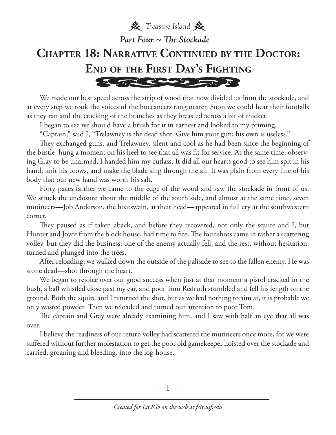**茶** Treasure Island *Part Four ~ The Stockade***Chapter 18: Narrative Continued by the Doctor: End of the First Day's Fighting** 556205522

We made our best speed across the strip of wood that now divided us from the stockade, and at every step we took the voices of the buccaneers rang nearer. Soon we could hear their footfalls as they ran and the cracking of the branches as they breasted across a bit of thicket.

I began to see we should have a brush for it in earnest and looked to my priming.

"Captain," said I, "Trelawney is the dead shot. Give him your gun; his own is useless."

They exchanged guns, and Trelawney, silent and cool as he had been since the beginning of the bustle, hung a moment on his heel to see that all was fit for service. At the same time, observing Gray to be unarmed, I handed him my cutlass. It did all our hearts good to see him spit in his hand, knit his brows, and make the blade sing through the air. It was plain from every line of his body that our new hand was worth his salt.

Forty paces farther we came to the edge of the wood and saw the stockade in front of us. We struck the enclosure about the middle of the south side, and almost at the same time, seven mutineers—Job Anderson, the boatswain, at their head—appeared in full cry at the southwestern corner.

They paused as if taken aback, and before they recovered, not only the squire and I, but Hunter and Joyce from the block house, had time to fire. The four shots came in rather a scattering volley, but they did the business: one of the enemy actually fell, and the rest, without hesitation, turned and plunged into the trees.

After reloading, we walked down the outside of the palisade to see to the fallen enemy. He was stone dead—shot through the heart.

We began to rejoice over our good success when just at that moment a pistol cracked in the bush, a ball whistled close past my ear, and poor Tom Redruth stumbled and fell his length on the ground. Both the squire and I returned the shot, but as we had nothing to aim at, it is probable we only wasted powder. Then we reloaded and turned our attention to poor Tom.

The captain and Gray were already examining him, and I saw with half an eye that all was over.

I believe the readiness of our return volley had scattered the mutineers once more, for we were suffered without further molestation to get the poor old gamekeeper hoisted over the stockade and carried, groaning and bleeding, into the log-house.

—  $\mathbb{I}$  —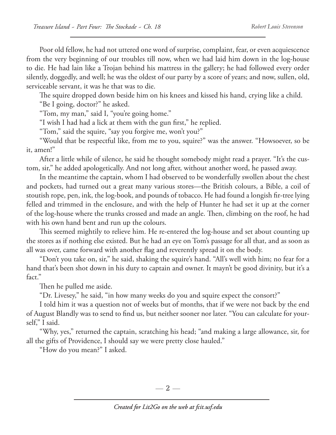Poor old fellow, he had not uttered one word of surprise, complaint, fear, or even acquiescence from the very beginning of our troubles till now, when we had laid him down in the log-house to die. He had lain like a Trojan behind his mattress in the gallery; he had followed every order silently, doggedly, and well; he was the oldest of our party by a score of years; and now, sullen, old, serviceable servant, it was he that was to die.

The squire dropped down beside him on his knees and kissed his hand, crying like a child.

"Be I going, doctor?" he asked.

"Tom, my man," said I, "you're going home."

"I wish I had had a lick at them with the gun first," he replied.

"Tom," said the squire, "say you forgive me, won't you?"

"Would that be respectful like, from me to you, squire?" was the answer. "Howsoever, so be it, amen!"

After a little while of silence, he said he thought somebody might read a prayer. "It's the custom, sir," he added apologetically. And not long after, without another word, he passed away.

In the meantime the captain, whom I had observed to be wonderfully swollen about the chest and pockets, had turned out a great many various stores—the British colours, a Bible, a coil of stoutish rope, pen, ink, the log-book, and pounds of tobacco. He had found a longish fir-tree lying felled and trimmed in the enclosure, and with the help of Hunter he had set it up at the corner of the log-house where the trunks crossed and made an angle. Then, climbing on the roof, he had with his own hand bent and run up the colours.

This seemed mightily to relieve him. He re-entered the log-house and set about counting up the stores as if nothing else existed. But he had an eye on Tom's passage for all that, and as soon as all was over, came forward with another flag and reverently spread it on the body.

"Don't you take on, sir," he said, shaking the squire's hand. "All's well with him; no fear for a hand that's been shot down in his duty to captain and owner. It mayn't be good divinity, but it's a fact."

Then he pulled me aside.

"Dr. Livesey," he said, "in how many weeks do you and squire expect the consort?"

I told him it was a question not of weeks but of months, that if we were not back by the end of August Blandly was to send to find us, but neither sooner nor later. "You can calculate for yourself," I said.

"Why, yes," returned the captain, scratching his head; "and making a large allowance, sir, for all the gifts of Providence, I should say we were pretty close hauled."

"How do you mean?" I asked.

— 2 —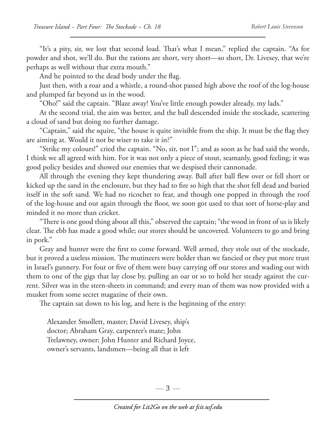"It's a pity, sir, we lost that second load. That's what I mean," replied the captain. "As for powder and shot, we'll do. But the rations are short, very short—so short, Dr. Livesey, that we're perhaps as well without that extra mouth."

And he pointed to the dead body under the flag.

Just then, with a roar and a whistle, a round-shot passed high above the roof of the log-house and plumped far beyond us in the wood.

"Oho!" said the captain. "Blaze away! You've little enough powder already, my lads."

At the second trial, the aim was better, and the ball descended inside the stockade, scattering a cloud of sand but doing no further damage.

"Captain," said the squire, "the house is quite invisible from the ship. It must be the flag they are aiming at. Would it not be wiser to take it in?"

"Strike my colours!" cried the captain. "No, sir, not I"; and as soon as he had said the words, I think we all agreed with him. For it was not only a piece of stout, seamanly, good feeling; it was good policy besides and showed our enemies that we despised their cannonade.

All through the evening they kept thundering away. Ball after ball flew over or fell short or kicked up the sand in the enclosure, but they had to fire so high that the shot fell dead and buried itself in the soft sand. We had no ricochet to fear, and though one popped in through the roof of the log-house and out again through the floor, we soon got used to that sort of horse-play and minded it no more than cricket.

"There is one good thing about all this," observed the captain; "the wood in front of us is likely clear. The ebb has made a good while; our stores should be uncovered. Volunteers to go and bring in pork."

Gray and hunter were the first to come forward. Well armed, they stole out of the stockade, but it proved a useless mission. The mutineers were bolder than we fancied or they put more trust in Israel's gunnery. For four or five of them were busy carrying off our stores and wading out with them to one of the gigs that lay close by, pulling an oar or so to hold her steady against the current. Silver was in the stern-sheets in command; and every man of them was now provided with a musket from some secret magazine of their own.

The captain sat down to his log, and here is the beginning of the entry:

 Alexander Smollett, master; David Livesey, ship's doctor; Abraham Gray, carpenter's mate; John Trelawney, owner; John Hunter and Richard Joyce, owner's servants, landsmen—being all that is left

 $-3-$